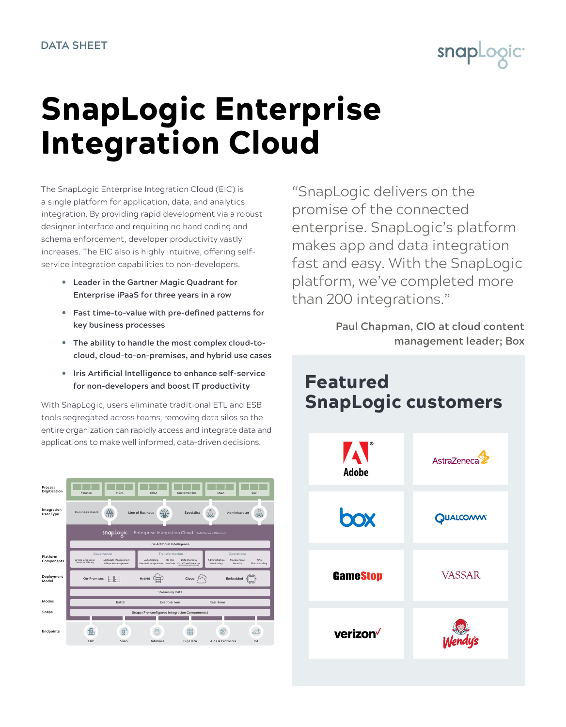

## SnapLogic Enterprise Integration Cloud

The SnapLogic Enterprise Integration Cloud (EIC) is a single platform for application, data, and analytics integration. By providing rapid development via a robust designer interface and requiring no hand coding and schema enforcement, developer productivity vastly increases. The EIC also is highly intuitive, offering selfservice integration capabilities to non-developers.

- y **Leader in the Gartner Magic Quadrant for Enterprise iPaaS for three years in a row**
- **•** Fast time-to-value with pre-defined patterns for **key business processes**
- The ability to handle the most complex cloud-to**cloud, cloud-to-on-premises, and hybrid use cases**
- **•** Iris Artificial Intelligence to enhance self-service **for non-developers and boost IT productivity**

With SnapLogic, users eliminate traditional ETL and ESB tools segregated across teams, removing data silos so the entire organization can rapidly access and integrate data and applications to make well informed, data-driven decisions.



"SnapLogic delivers on the promise of the connected enterprise. SnapLogic's platform makes app and data integration fast and easy. With the SnapLogic platform, we've completed more than 200 integrations."

> **Paul Chapman, CIO at cloud content management leader; Box**

## Featured SnapLogic customers